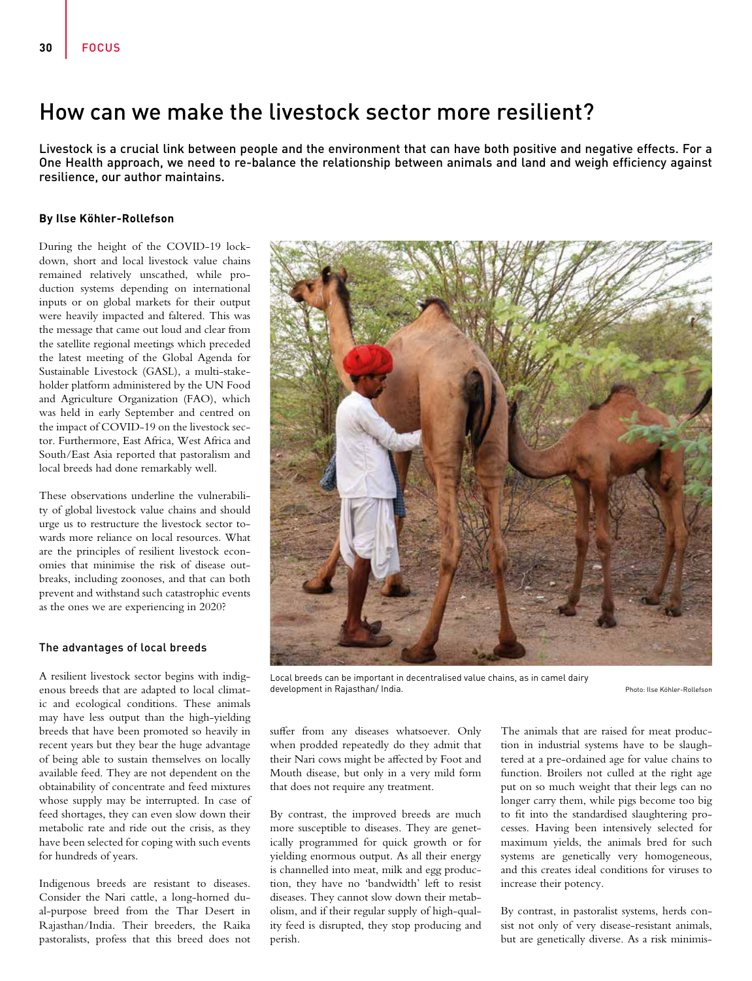# How can we make the livestock sector more resilient?

Livestock is a crucial link between people and the environment that can have both positive and negative effects. For a One Health approach, we need to re-balance the relationship between animals and land and weigh efficiency against resilience, our author maintains.

# **By Ilse Köhler-Rollefson**

During the height of the COVID-19 lockdown, short and local livestock value chains remained relatively unscathed, while production systems depending on international inputs or on global markets for their output were heavily impacted and faltered. This was the message that came out loud and clear from the satellite regional meetings which preceded the latest meeting of the Global Agenda for Sustainable Livestock (GASL), a multi-stakeholder platform administered by the UN Food and Agriculture Organization (FAO), which was held in early September and centred on the impact of COVID-19 on the livestock sector. Furthermore, East Africa, West Africa and South/East Asia reported that pastoralism and local breeds had done remarkably well.

These observations underline the vulnerability of global livestock value chains and should urge us to restructure the livestock sector towards more reliance on local resources. What are the principles of resilient livestock economies that minimise the risk of disease outbreaks, including zoonoses, and that can both prevent and withstand such catastrophic events as the ones we are experiencing in 2020?

### The advantages of local breeds

A resilient livestock sector begins with indigenous breeds that are adapted to local climatic and ecological conditions. These animals may have less output than the high-yielding breeds that have been promoted so heavily in recent years but they bear the huge advantage of being able to sustain themselves on locally available feed. They are not dependent on the obtainability of concentrate and feed mixtures whose supply may be interrupted. In case of feed shortages, they can even slow down their metabolic rate and ride out the crisis, as they have been selected for coping with such events for hundreds of years.

Indigenous breeds are resistant to diseases. Consider the Nari cattle, a long-horned dual-purpose breed from the Thar Desert in Rajasthan/India. Their breeders, the Raika pastoralists, profess that this breed does not



Local breeds can be important in decentralised value chains, as in camel dairy development in Rajasthan/ India. Photo: Ilse Köhler-Rollefson Photo: Ilse Köhler-Rollefson

suffer from any diseases whatsoever. Only when prodded repeatedly do they admit that their Nari cows might be affected by Foot and Mouth disease, but only in a very mild form that does not require any treatment.

By contrast, the improved breeds are much more susceptible to diseases. They are genetically programmed for quick growth or for yielding enormous output. As all their energy is channelled into meat, milk and egg production, they have no 'bandwidth' left to resist diseases. They cannot slow down their metabolism, and if their regular supply of high-quality feed is disrupted, they stop producing and perish.

The animals that are raised for meat production in industrial systems have to be slaughtered at a pre-ordained age for value chains to function. Broilers not culled at the right age put on so much weight that their legs can no longer carry them, while pigs become too big to fit into the standardised slaughtering processes. Having been intensively selected for maximum yields, the animals bred for such systems are genetically very homogeneous, and this creates ideal conditions for viruses to increase their potency.

By contrast, in pastoralist systems, herds consist not only of very disease-resistant animals, but are genetically diverse. As a risk minimis